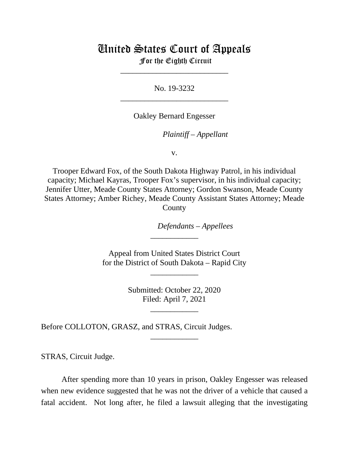# United States Court of Appeals

For the Eighth Circuit \_\_\_\_\_\_\_\_\_\_\_\_\_\_\_\_\_\_\_\_\_\_\_\_\_\_\_

No. 19-3232 \_\_\_\_\_\_\_\_\_\_\_\_\_\_\_\_\_\_\_\_\_\_\_\_\_\_\_

Oakley Bernard Engesser

*Plaintiff – Appellant*

v.

Trooper Edward Fox, of the South Dakota Highway Patrol, in his individual capacity; Michael Kayras, Trooper Fox's supervisor, in his individual capacity; Jennifer Utter, Meade County States Attorney; Gordon Swanson, Meade County States Attorney; Amber Richey, Meade County Assistant States Attorney; Meade County

*Defendants* – *Appellees*

Appeal from United States District Court for the District of South Dakota – Rapid City

\_\_\_\_\_\_\_\_\_\_\_\_

\_\_\_\_\_\_\_\_\_\_\_\_

Submitted: October 22, 2020 Filed: April 7, 2021

\_\_\_\_\_\_\_\_\_\_\_\_

\_\_\_\_\_\_\_\_\_\_\_\_

Before COLLOTON, GRASZ, and STRAS, Circuit Judges.

STRAS, Circuit Judge.

After spending more than 10 years in prison, Oakley Engesser was released when new evidence suggested that he was not the driver of a vehicle that caused a fatal accident. Not long after, he filed a lawsuit alleging that the investigating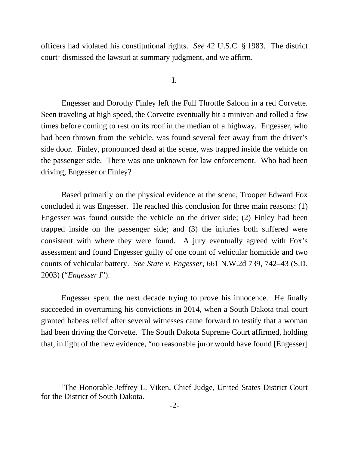officers had violated his constitutional rights. *See* 42 U.S.C. § 1983. The district  $\text{count}^1$  $\text{count}^1$  dismissed the lawsuit at summary judgment, and we affirm.

I.

Engesser and Dorothy Finley left the Full Throttle Saloon in a red Corvette. Seen traveling at high speed, the Corvette eventually hit a minivan and rolled a few times before coming to rest on its roof in the median of a highway. Engesser, who had been thrown from the vehicle, was found several feet away from the driver's side door. Finley, pronounced dead at the scene, was trapped inside the vehicle on the passenger side. There was one unknown for law enforcement. Who had been driving, Engesser or Finley?

Based primarily on the physical evidence at the scene, Trooper Edward Fox concluded it was Engesser. He reached this conclusion for three main reasons: (1) Engesser was found outside the vehicle on the driver side; (2) Finley had been trapped inside on the passenger side; and (3) the injuries both suffered were consistent with where they were found. A jury eventually agreed with Fox's assessment and found Engesser guilty of one count of vehicular homicide and two counts of vehicular battery. *See State v. Engesser*, 661 N.W.2d 739, 742–43 (S.D. 2003) ("*Engesser I*").

Engesser spent the next decade trying to prove his innocence. He finally succeeded in overturning his convictions in 2014, when a South Dakota trial court granted habeas relief after several witnesses came forward to testify that a woman had been driving the Corvette. The South Dakota Supreme Court affirmed, holding that, in light of the new evidence, "no reasonable juror would have found [Engesser]

<span id="page-1-0"></span><sup>&</sup>lt;sup>1</sup>The Honorable Jeffrey L. Viken, Chief Judge, United States District Court for the District of South Dakota.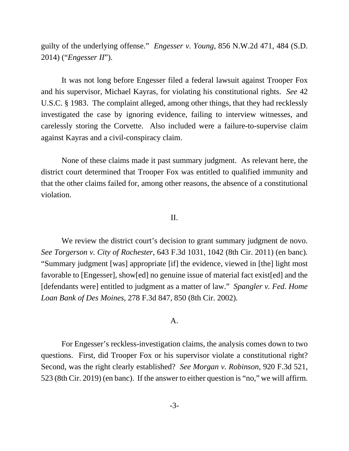guilty of the underlying offense." *Engesser v. Young*, 856 N.W.2d 471, 484 (S.D. 2014) ("*Engesser II*").

It was not long before Engesser filed a federal lawsuit against Trooper Fox and his supervisor, Michael Kayras, for violating his constitutional rights. *See* 42 U.S.C. § 1983. The complaint alleged, among other things, that they had recklessly investigated the case by ignoring evidence, failing to interview witnesses, and carelessly storing the Corvette. Also included were a failure-to-supervise claim against Kayras and a civil-conspiracy claim.

None of these claims made it past summary judgment. As relevant here, the district court determined that Trooper Fox was entitled to qualified immunity and that the other claims failed for, among other reasons, the absence of a constitutional violation.

## II.

We review the district court's decision to grant summary judgment de novo. *See Torgerson v. City of Rochester*, 643 F.3d 1031, 1042 (8th Cir. 2011) (en banc)*.*  "Summary judgment [was] appropriate [if] the evidence, viewed in [the] light most favorable to [Engesser], show[ed] no genuine issue of material fact exist[ed] and the [defendants were] entitled to judgment as a matter of law." *Spangler v. Fed. Home Loan Bank of Des Moines*, 278 F.3d 847, 850 (8th Cir. 2002).

## A.

For Engesser's reckless-investigation claims, the analysis comes down to two questions. First, did Trooper Fox or his supervisor violate a constitutional right? Second, was the right clearly established? *See Morgan v. Robinson*, 920 F.3d 521, 523 (8th Cir. 2019) (en banc). If the answer to either question is "no," we will affirm.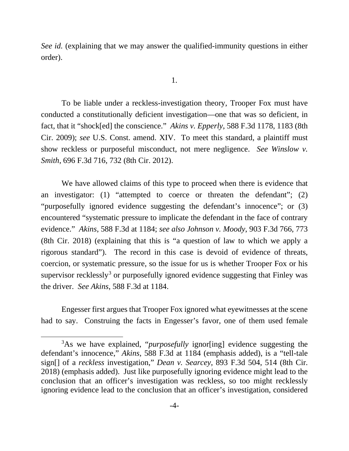*See id.* (explaining that we may answer the qualified-immunity questions in either order).

To be liable under a reckless-investigation theory, Trooper Fox must have conducted a constitutionally deficient investigation—one that was so deficient, in fact, that it "shock[ed] the conscience." *Akins v. Epperly*, 588 F.3d 1178, 1183 (8th Cir. 2009); *see* U.S. Const. amend. XIV. To meet this standard, a plaintiff must show reckless or purposeful misconduct, not mere negligence. *See Winslow v. Smith*, 696 F.3d 716, 732 (8th Cir. 2012).

We have allowed claims of this type to proceed when there is evidence that an investigator: (1) "attempted to coerce or threaten the defendant"; (2) "purposefully ignored evidence suggesting the defendant's innocence"; or (3) encountered "systematic pressure to implicate the defendant in the face of contrary evidence." *Akins*, 588 F.3d at 1184; *see also Johnson v. Moody*, 903 F.3d 766, 773 (8th Cir. 2018) (explaining that this is "a question of law to which we apply a rigorous standard"). The record in this case is devoid of evidence of threats, coercion, or systematic pressure, so the issue for us is whether Trooper Fox or his supervisor recklessly<sup>[3](#page-3-0)</sup> or purposefully ignored evidence suggesting that Finley was the driver. *See Akins*, 588 F.3d at 1184.

Engesser first argues that Trooper Fox ignored what eyewitnesses at the scene had to say. Construing the facts in Engesser's favor, one of them used female

<span id="page-3-0"></span><sup>3</sup> As we have explained, "*purposefully* ignor[ing] evidence suggesting the defendant's innocence," *Akins*, 588 F.3d at 1184 (emphasis added), is a "tell-tale sign[] of a *reckless* investigation," *Dean v. Searcey*, 893 F.3d 504, 514 (8th Cir. 2018) (emphasis added). Just like purposefully ignoring evidence might lead to the conclusion that an officer's investigation was reckless, so too might recklessly ignoring evidence lead to the conclusion that an officer's investigation, considered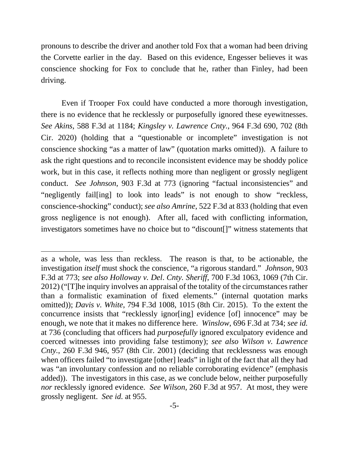pronouns to describe the driver and another told Fox that a woman had been driving the Corvette earlier in the day. Based on this evidence, Engesser believes it was conscience shocking for Fox to conclude that he, rather than Finley, had been driving.

Even if Trooper Fox could have conducted a more thorough investigation, there is no evidence that he recklessly or purposefully ignored these eyewitnesses. *See Akins*, 588 F.3d at 1184; *Kingsley v. Lawrence Cnty.*, 964 F.3d 690, 702 (8th Cir. 2020) (holding that a "questionable or incomplete" investigation is not conscience shocking "as a matter of law" (quotation marks omitted)). A failure to ask the right questions and to reconcile inconsistent evidence may be shoddy police work, but in this case, it reflects nothing more than negligent or grossly negligent conduct. *See Johnson*, 903 F.3d at 773 (ignoring "factual inconsistencies" and "negligently fail[ing] to look into leads" is not enough to show "reckless, conscience-shocking" conduct); *see also Amrine*, 522 F.3d at 833 (holding that even gross negligence is not enough). After all, faced with conflicting information, investigators sometimes have no choice but to "discount[]" witness statements that

as a whole, was less than reckless. The reason is that, to be actionable, the investigation *itself* must shock the conscience, "a rigorous standard." *Johnson*, 903 F.3d at 773; *see also Holloway v. Del*. *Cnty. Sheriff*, 700 F.3d 1063, 1069 (7th Cir. 2012) ("[T]he inquiry involves an appraisal of the totality of the circumstances rather than a formalistic examination of fixed elements." (internal quotation marks omitted)); *Davis v. White*, 794 F.3d 1008, 1015 (8th Cir. 2015). To the extent the concurrence insists that "recklessly ignor[ing] evidence [of] innocence" may be enough, we note that it makes no difference here. *Winslow*, 696 F.3d at 734; *see id.* at 736 (concluding that officers had *purposefully* ignored exculpatory evidence and coerced witnesses into providing false testimony); *see also Wilson v. Lawrence Cnty.*, 260 F.3d 946, 957 (8th Cir. 2001) (deciding that recklessness was enough when officers failed "to investigate [other] lead*s*" in light of the fact that all they had was "an involuntary confession and no reliable corroborating evidence" (emphasis added)). The investigators in this case, as we conclude below, neither purposefully *nor* recklessly ignored evidence. *See Wilson*, 260 F.3d at 957. At most, they were grossly negligent. *See id.* at 955.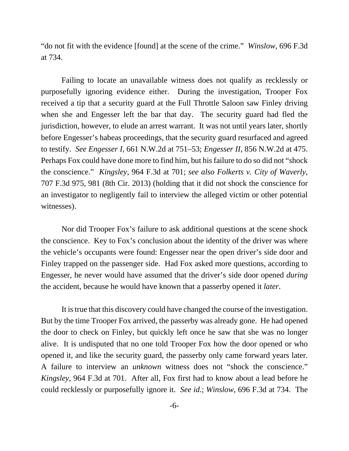"do not fit with the evidence [found] at the scene of the crime." *Winslow*, 696 F.3d at 734.

Failing to locate an unavailable witness does not qualify as recklessly or purposefully ignoring evidence either. During the investigation, Trooper Fox received a tip that a security guard at the Full Throttle Saloon saw Finley driving when she and Engesser left the bar that day. The security guard had fled the jurisdiction, however, to elude an arrest warrant. It was not until years later, shortly before Engesser's habeas proceedings, that the security guard resurfaced and agreed to testify. *See Engesser I*, 661 N.W.2d at 751–53; *Engesser II*, 856 N.W.2d at 475. Perhaps Fox could have done more to find him, but his failure to do so did not "shock the conscience." *Kingsley*, 964 F.3d at 701; *see also Folkerts v. City of Waverly*, 707 F.3d 975, 981 (8th Cir. 2013) (holding that it did not shock the conscience for an investigator to negligently fail to interview the alleged victim or other potential witnesses).

Nor did Trooper Fox's failure to ask additional questions at the scene shock the conscience. Key to Fox's conclusion about the identity of the driver was where the vehicle's occupants were found: Engesser near the open driver's side door and Finley trapped on the passenger side. Had Fox asked more questions, according to Engesser, he never would have assumed that the driver's side door opened *during* the accident, because he would have known that a passerby opened it *later*.

It is true that this discovery could have changed the course of the investigation. But by the time Trooper Fox arrived, the passerby was already gone. He had opened the door to check on Finley, but quickly left once he saw that she was no longer alive. It is undisputed that no one told Trooper Fox how the door opened or who opened it, and like the security guard, the passerby only came forward years later. A failure to interview an *unknown* witness does not "shock the conscience." *Kingsley*, 964 F.3d at 701. After all, Fox first had to know about a lead before he could recklessly or purposefully ignore it. *See id.*; *Winslow*, 696 F.3d at 734. The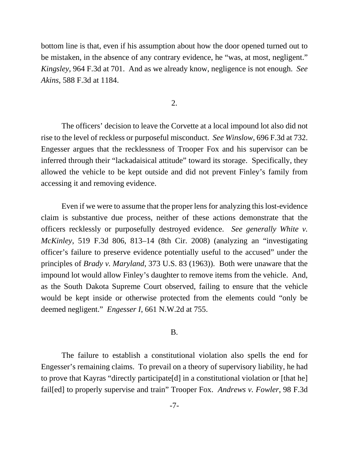bottom line is that, even if his assumption about how the door opened turned out to be mistaken, in the absence of any contrary evidence, he "was, at most, negligent." *Kingsley*, 964 F.3d at 701. And as we already know, negligence is not enough. *See Akins*, 588 F.3d at 1184.

2.

The officers' decision to leave the Corvette at a local impound lot also did not rise to the level of reckless or purposeful misconduct. *See Winslow*, 696 F.3d at 732. Engesser argues that the recklessness of Trooper Fox and his supervisor can be inferred through their "lackadaisical attitude" toward its storage. Specifically, they allowed the vehicle to be kept outside and did not prevent Finley's family from accessing it and removing evidence.

Even if we were to assume that the proper lens for analyzing this lost-evidence claim is substantive due process, neither of these actions demonstrate that the officers recklessly or purposefully destroyed evidence. *See generally White v. McKinley*, 519 F.3d 806, 813–14 (8th Cir. 2008) (analyzing an "investigating officer's failure to preserve evidence potentially useful to the accused" under the principles of *Brady v. Maryland*, 373 U.S. 83 (1963)). Both were unaware that the impound lot would allow Finley's daughter to remove items from the vehicle. And, as the South Dakota Supreme Court observed, failing to ensure that the vehicle would be kept inside or otherwise protected from the elements could "only be deemed negligent." *Engesser I*, 661 N.W.2d at 755.

#### B.

The failure to establish a constitutional violation also spells the end for Engesser's remaining claims. To prevail on a theory of supervisory liability, he had to prove that Kayras "directly participate[d] in a constitutional violation or [that he] fail[ed] to properly supervise and train" Trooper Fox. *Andrews v. Fowler*, 98 F.3d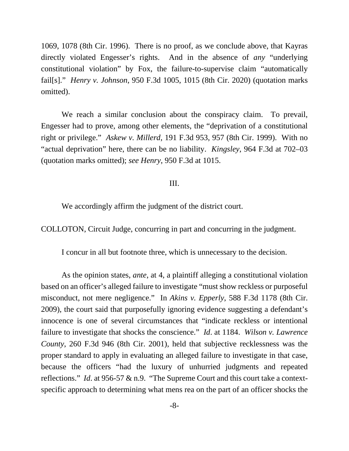1069, 1078 (8th Cir. 1996). There is no proof, as we conclude above, that Kayras directly violated Engesser's rights. And in the absence of *any* "underlying constitutional violation" by Fox, the failure-to-supervise claim "automatically fail[s]." *Henry v. Johnson*, 950 F.3d 1005, 1015 (8th Cir. 2020) (quotation marks omitted).

We reach a similar conclusion about the conspiracy claim. To prevail, Engesser had to prove, among other elements, the "deprivation of a constitutional right or privilege." *Askew v. Millerd*, 191 F.3d 953, 957 (8th Cir. 1999). With no "actual deprivation" here, there can be no liability. *Kingsley*, 964 F.3d at 702–03 (quotation marks omitted); *see Henry*, 950 F.3d at 1015.

### III.

We accordingly affirm the judgment of the district court.

COLLOTON, Circuit Judge, concurring in part and concurring in the judgment.

I concur in all but footnote three, which is unnecessary to the decision.

As the opinion states, *ante*, at 4, a plaintiff alleging a constitutional violation based on an officer's alleged failure to investigate "must show reckless or purposeful misconduct, not mere negligence." In *Akins v. Epperly*, 588 F.3d 1178 (8th Cir. 2009), the court said that purposefully ignoring evidence suggesting a defendant's innocence is one of several circumstances that "indicate reckless or intentional failure to investigate that shocks the conscience." *Id*. at 1184. *Wilson v. Lawrence County*, 260 F.3d 946 (8th Cir. 2001), held that subjective recklessness was the proper standard to apply in evaluating an alleged failure to investigate in that case, because the officers "had the luxury of unhurried judgments and repeated reflections." *Id*. at 956-57 & n.9. "The Supreme Court and this court take a contextspecific approach to determining what mens rea on the part of an officer shocks the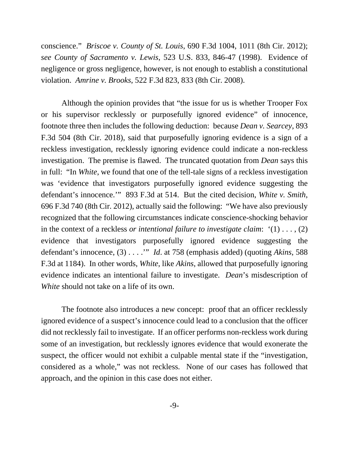conscience." *Briscoe v. County of St. Louis*, 690 F.3d 1004, 1011 (8th Cir. 2012); *see County of Sacramento v. Lewis*, 523 U.S. 833, 846-47 (1998). Evidence of negligence or gross negligence, however, is not enough to establish a constitutional violation. *Amrine v. Brooks*, 522 F.3d 823, 833 (8th Cir. 2008).

Although the opinion provides that "the issue for us is whether Trooper Fox or his supervisor recklessly or purposefully ignored evidence" of innocence, footnote three then includes the following deduction: because *Dean v. Searcey*, 893 F.3d 504 (8th Cir. 2018), said that purposefully ignoring evidence is a sign of a reckless investigation, recklessly ignoring evidence could indicate a non-reckless investigation. The premise is flawed. The truncated quotation from *Dean* says this in full: "In *White*, we found that one of the tell-tale signs of a reckless investigation was 'evidence that investigators purposefully ignored evidence suggesting the defendant's innocence.'" 893 F.3d at 514. But the cited decision, *White v. Smith*, 696 F.3d 740 (8th Cir. 2012), actually said the following: "We have also previously recognized that the following circumstances indicate conscience-shocking behavior in the context of a reckless *or intentional failure to investigate claim*: '(1) . . . , (2) evidence that investigators purposefully ignored evidence suggesting the defendant's innocence, (3) . . . .'" *Id*. at 758 (emphasis added) (quoting *Akins*, 588 F.3d at 1184). In other words, *White*, like *Akins*, allowed that purposefully ignoring evidence indicates an intentional failure to investigate. *Dean*'s misdescription of *White* should not take on a life of its own.

The footnote also introduces a new concept: proof that an officer recklessly ignored evidence of a suspect's innocence could lead to a conclusion that the officer did not recklessly fail to investigate. If an officer performs non-reckless work during some of an investigation, but recklessly ignores evidence that would exonerate the suspect, the officer would not exhibit a culpable mental state if the "investigation, considered as a whole," was not reckless. None of our cases has followed that approach, and the opinion in this case does not either.